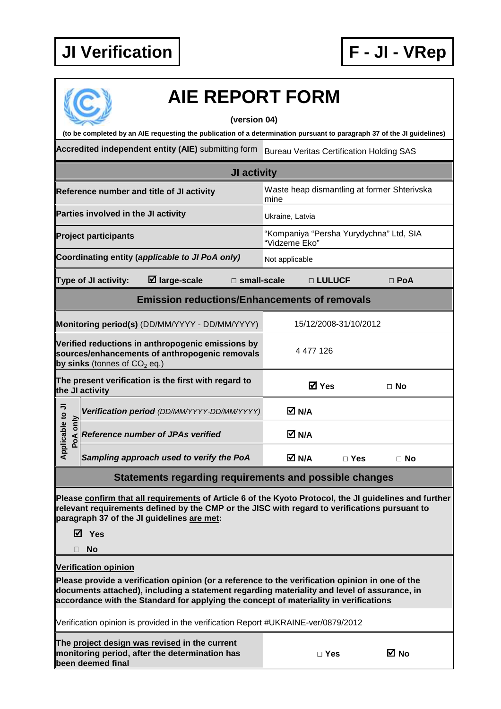

# **AIE REPORT FORM**

#### **(version 04)**

**(to be completed by an AIE requesting the publication of a determination pursuant to paragraph 37 of the JI guidelines)** 

Accredited independent entity (AIE) submitting form Bureau Veritas Certification Holding SAS

| JI activity                                                                                                                                        |                                                        |                                             |                                                     |       |            |            |  |
|----------------------------------------------------------------------------------------------------------------------------------------------------|--------------------------------------------------------|---------------------------------------------|-----------------------------------------------------|-------|------------|------------|--|
|                                                                                                                                                    |                                                        | Reference number and title of JI activity   | Waste heap dismantling at former Shterivska<br>mine |       |            |            |  |
|                                                                                                                                                    | Parties involved in the JI activity<br>Ukraine, Latvia |                                             |                                                     |       |            |            |  |
| "Kompaniya "Persha Yurydychna" Ltd, SIA<br><b>Project participants</b><br>"Vidzeme Eko"                                                            |                                                        |                                             |                                                     |       |            |            |  |
| Coordinating entity (applicable to JI PoA only)<br>Not applicable                                                                                  |                                                        |                                             |                                                     |       |            |            |  |
| Type of JI activity:<br>$\boxtimes$ large-scale<br>$\Box$ small-scale                                                                              |                                                        |                                             |                                                     |       | □ LULUCF   | $\Box$ PoA |  |
| <b>Emission reductions/Enhancements of removals</b>                                                                                                |                                                        |                                             |                                                     |       |            |            |  |
| Monitoring period(s) (DD/MM/YYYY - DD/MM/YYYY)<br>15/12/2008-31/10/2012                                                                            |                                                        |                                             |                                                     |       |            |            |  |
| Verified reductions in anthropogenic emissions by<br>4 477 126<br>sources/enhancements of anthropogenic removals<br>by sinks (tonnes of $CO2$ eq.) |                                                        |                                             |                                                     |       |            |            |  |
| The present verification is the first with regard to<br><b>☑</b> Yes<br>the JI activity                                                            |                                                        | $\Box$ No                                   |                                                     |       |            |            |  |
| Applicable to JI<br>only<br>PoA                                                                                                                    |                                                        | Verification period (DD/MM/YYYY-DD/MM/YYYY) |                                                     | M N/A |            |            |  |
|                                                                                                                                                    |                                                        | <b>Reference number of JPAs verified</b>    |                                                     | M N/A |            |            |  |
|                                                                                                                                                    |                                                        | Sampling approach used to verify the PoA    |                                                     | M N/A | $\Box$ Yes | $\Box$ No  |  |

## **Statements regarding requirements and possible changes**

**Please confirm that all requirements of Article 6 of the Kyoto Protocol, the JI guidelines and further relevant requirements defined by the CMP or the JISC with regard to verifications pursuant to paragraph 37 of the JI guidelines are met:** 

**Yes** 

**No** 

### **Verification opinion**

**Please provide a verification opinion (or a reference to the verification opinion in one of the documents attached), including a statement regarding materiality and level of assurance, in accordance with the Standard for applying the concept of materiality in verifications** 

Verification opinion is provided in the verification Report #UKRAINE-ver/0879/2012

**The project design was revised in the current monitoring period, after the determination has been deemed final** 

| $\Box$ Yes | <b>⊠</b> No |
|------------|-------------|
|------------|-------------|